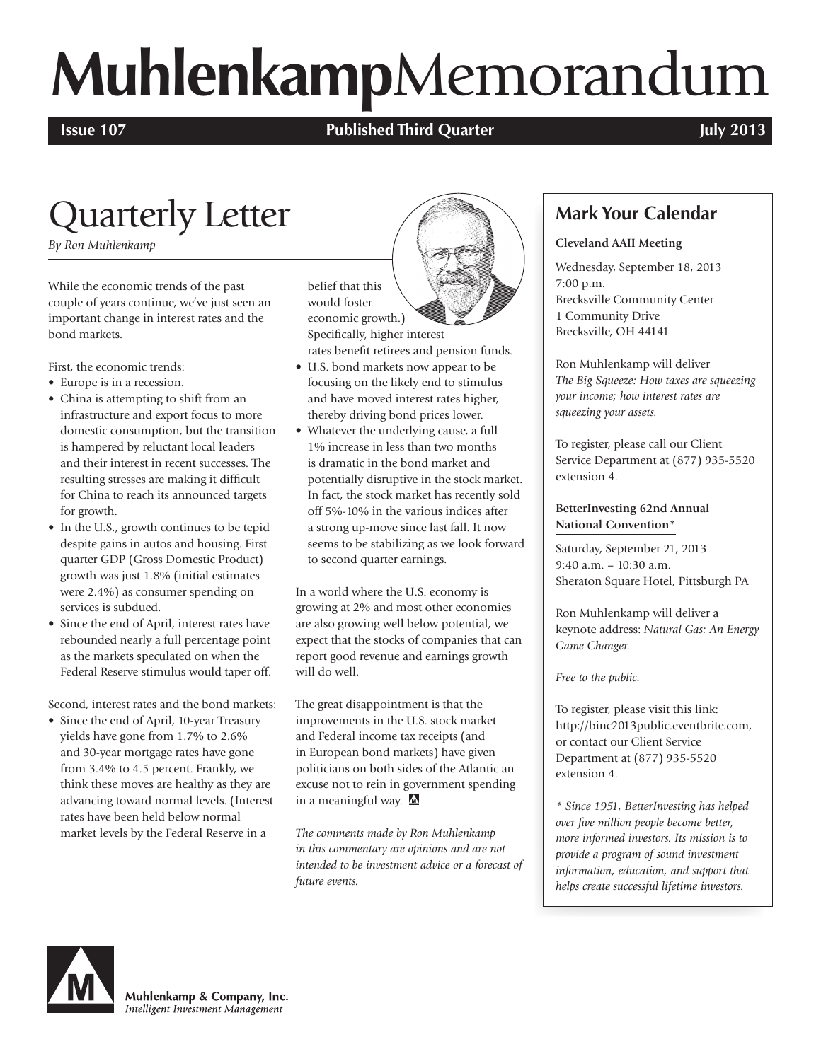# **Muhlenkamp**Memorandum

#### **Issue 107 Published Third Quarter** *COU* **<b>Published Third Quarter July 2013**

## Quarterly Letter

*By Ron Muhlenkamp*

While the economic trends of the past couple of years continue, we've just seen an important change in interest rates and the bond markets.

First, the economic trends:

- Europe is in a recession.
- China is attempting to shift from an infrastructure and export focus to more domestic consumption, but the transition is hampered by reluctant local leaders and their interest in recent successes. The resulting stresses are making it difficult for China to reach its announced targets for growth.
- In the U.S., growth continues to be tepid despite gains in autos and housing. First quarter GDP (Gross Domestic Product) growth was just 1.8% (initial estimates were 2.4%) as consumer spending on services is subdued.
- Since the end of April, interest rates have rebounded nearly a full percentage point as the markets speculated on when the Federal Reserve stimulus would taper off.

Second, interest rates and the bond markets:

• Since the end of April, 10-year Treasury yields have gone from 1.7% to 2.6% and 30-year mortgage rates have gone from 3.4% to 4.5 percent. Frankly, we think these moves are healthy as they are advancing toward normal levels. (Interest rates have been held below normal market levels by the Federal Reserve in a

belief that this would foster economic growth.) Specifically, higher interest

- rates benefit retirees and pension funds. • U.S. bond markets now appear to be focusing on the likely end to stimulus
- and have moved interest rates higher, thereby driving bond prices lower. • Whatever the underlying cause, a full 1% increase in less than two months is dramatic in the bond market and potentially disruptive in the stock market. In fact, the stock market has recently sold off 5%-10% in the various indices after a strong up-move since last fall. It now seems to be stabilizing as we look forward to second quarter earnings.

In a world where the U.S. economy is growing at 2% and most other economies are also growing well below potential, we expect that the stocks of companies that can report good revenue and earnings growth will do well.

The great disappointment is that the improvements in the U.S. stock market and Federal income tax receipts (and in European bond markets) have given politicians on both sides of the Atlantic an excuse not to rein in government spending in a meaningful way. M

*The comments made by Ron Muhlenkamp in this commentary are opinions and are not intended to be investment advice or a forecast of future events.*



**Cleveland AAII Meeting**

**Mark Your Calendar**

Wednesday, September 18, 2013 7:00 p.m. Brecksville Community Center 1 Community Drive Brecksville, OH 44141

Ron Muhlenkamp will deliver *The Big Squeeze: How taxes are squeezing your income; how interest rates are squeezing your assets.*

To register, please call our Client Service Department at (877) 935-5520 extension 4.

#### **BetterInvesting 62nd Annual National Convention\***

Saturday, September 21, 2013 9:40 a.m. – 10:30 a.m. Sheraton Square Hotel, Pittsburgh PA

Ron Muhlenkamp will deliver a keynote address: *Natural Gas: An Energy Game Changer.*

*Free to the public.*

To register, please visit this link: http://binc2013public.eventbrite.com, or contact our Client Service Department at (877) 935-5520 extension 4.

*\* Since 1951, BetterInvesting has helped over five million people become better, more informed investors. Its mission is to provide a program of sound investment information, education, and support that helps create successful lifetime investors.* 



Muhlenkamp & Company, Inc. Intelligent Investment Management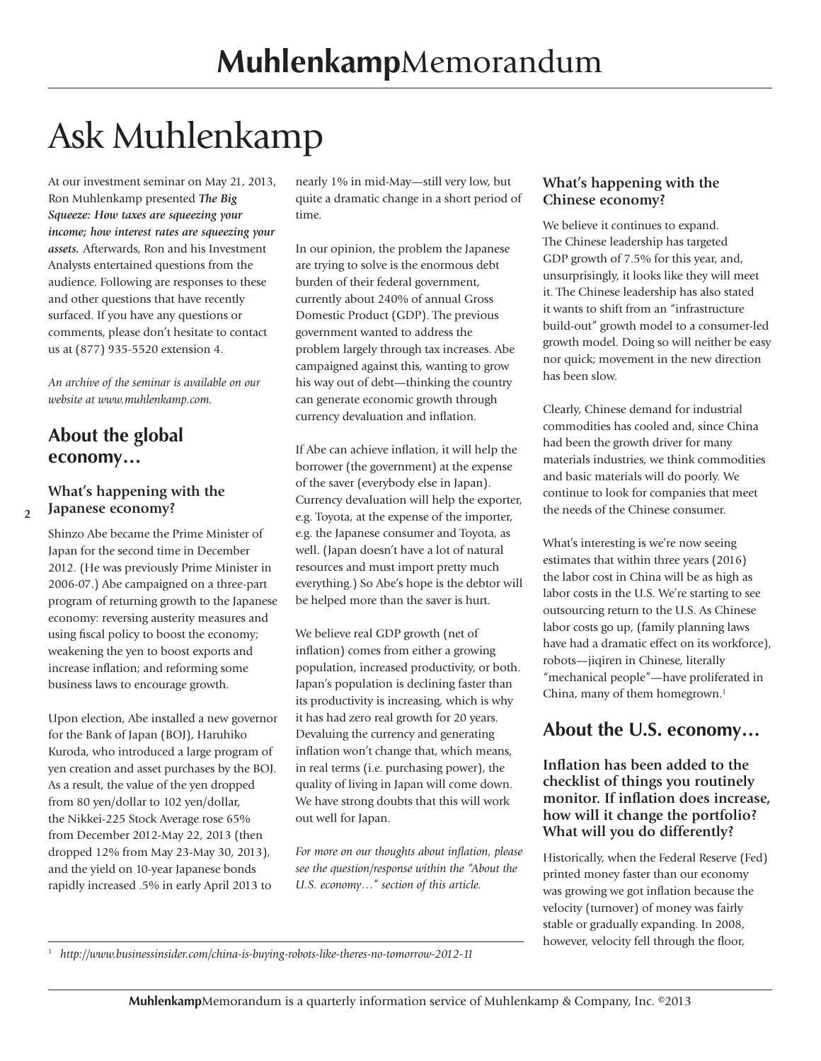# Ask Muhlenkamp

At our investment seminar on May 21, 2013, Ron Muhlenkamp presented *The Big Squeeze: How taxes are squeezing your income; how interest rates are squeezing your assets.* Afterwards, Ron and his Investment Analysts entertained questions from the audience. Following are responses to these and other questions that have recently surfaced. If you have any questions or comments, please don't hesitate to contact us at (877) 935-5520 extension 4.

*An archive of the seminar is available on our website at www.muhlenkamp.com.*

#### **About the global economy…**

**2**

#### **What's happening with the Japanese economy?**

Shinzo Abe became the Prime Minister of Japan for the second time in December 2012. (He was previously Prime Minister in 2006-07.) Abe campaigned on a three-part program of returning growth to the Japanese economy: reversing austerity measures and using fiscal policy to boost the economy; weakening the yen to boost exports and increase inflation; and reforming some business laws to encourage growth.

Upon election, Abe installed a new governor for the Bank of Japan (BOJ), Haruhiko Kuroda, who introduced a large program of yen creation and asset purchases by the BOJ. As a result, the value of the yen dropped from 80 yen/dollar to 102 yen/dollar, the Nikkei-225 Stock Average rose 65% from December 2012-May 22, 2013 (then dropped 12% from May 23-May 30, 2013), and the yield on 10-year Japanese bonds rapidly increased .5% in early April 2013 to

nearly 1% in mid-May—still very low, but quite a dramatic change in a short period of time.

In our opinion, the problem the Japanese are trying to solve is the enormous debt burden of their federal government, currently about 240% of annual Gross Domestic Product (GDP). The previous government wanted to address the problem largely through tax increases. Abe campaigned against this, wanting to grow his way out of debt—thinking the country can generate economic growth through currency devaluation and inflation.

If Abe can achieve inflation, it will help the borrower (the government) at the expense of the saver (everybody else in Japan). Currency devaluation will help the exporter, e.g. Toyota, at the expense of the importer, e.g. the Japanese consumer and Toyota, as well. (Japan doesn't have a lot of natural resources and must import pretty much everything.) So Abe's hope is the debtor will be helped more than the saver is hurt.

We believe real GDP growth (net of inflation) comes from either a growing population, increased productivity, or both. Japan's population is declining faster than its productivity is increasing, which is why it has had zero real growth for 20 years. Devaluing the currency and generating inflation won't change that, which means, in real terms (i.e. purchasing power), the quality of living in Japan will come down. We have strong doubts that this will work out well for Japan.

*For more on our thoughts about inflation, please see the question/response within the "About the U.S. economy…" section of this article.*

#### **What's happening with the Chinese economy?**

We believe it continues to expand. The Chinese leadership has targeted GDP growth of 7.5% for this year, and, unsurprisingly, it looks like they will meet it. The Chinese leadership has also stated it wants to shift from an "infrastructure build-out" growth model to a consumer-led growth model. Doing so will neither be easy nor quick; movement in the new direction has been slow.

Clearly, Chinese demand for industrial commodities has cooled and, since China had been the growth driver for many materials industries, we think commodities and basic materials will do poorly. We continue to look for companies that meet the needs of the Chinese consumer.

What's interesting is we're now seeing estimates that within three years (2016) the labor cost in China will be as high as labor costs in the U.S. We're starting to see outsourcing return to the U.S. As Chinese labor costs go up, (family planning laws have had a dramatic effect on its workforce), robots—jiqiren in Chinese, literally "mechanical people"—have proliferated in China, many of them homegrown.<sup>1</sup>

#### **About the U.S. economy…**

**Inflation has been added to the checklist of things you routinely monitor. If inflation does increase, how will it change the portfolio? What will you do differently?**

Historically, when the Federal Reserve (Fed) printed money faster than our economy was growing we got inflation because the velocity (turnover) of money was fairly stable or gradually expanding. In 2008, however, velocity fell through the floor,

<sup>1</sup> *http://www.businessinsider.com/china-is-buying-robots-like-theres-no-tomorrow-2012-11*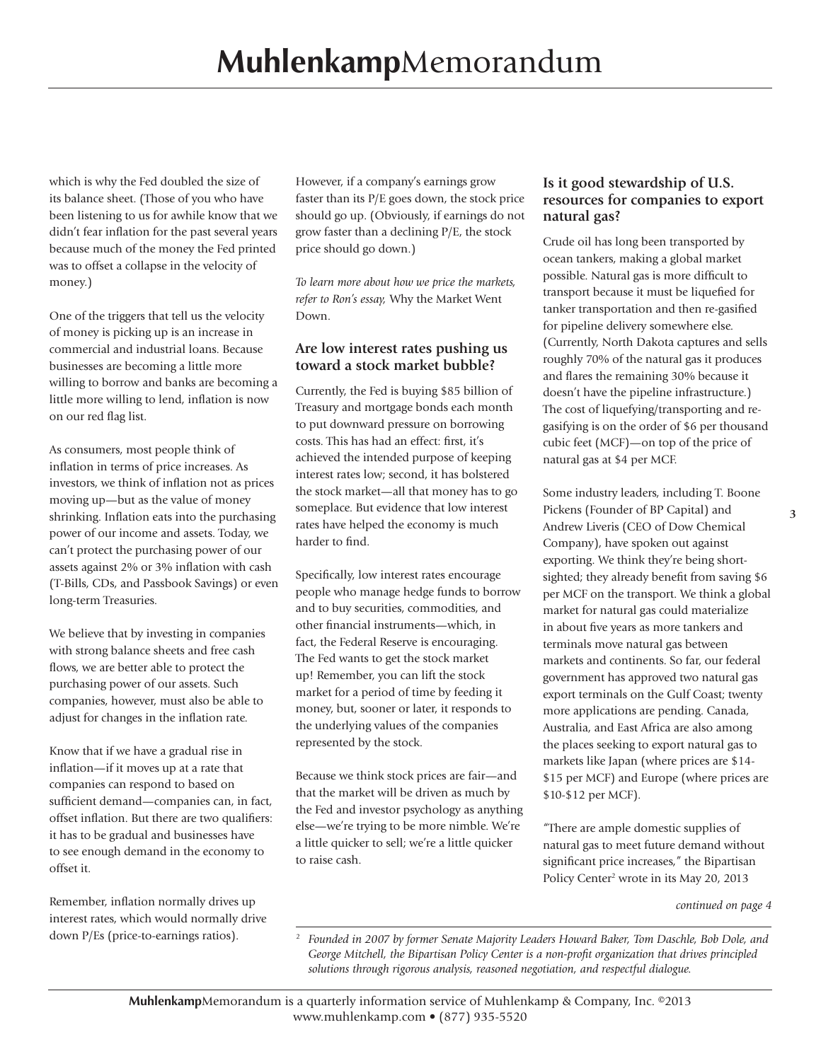which is why the Fed doubled the size of its balance sheet. (Those of you who have been listening to us for awhile know that we didn't fear inflation for the past several years because much of the money the Fed printed was to offset a collapse in the velocity of money.)

One of the triggers that tell us the velocity of money is picking up is an increase in commercial and industrial loans. Because businesses are becoming a little more willing to borrow and banks are becoming a little more willing to lend, inflation is now on our red flag list.

As consumers, most people think of inflation in terms of price increases. As investors, we think of inflation not as prices moving up—but as the value of money shrinking. Inflation eats into the purchasing power of our income and assets. Today, we can't protect the purchasing power of our assets against 2% or 3% inflation with cash (T-Bills, CDs, and Passbook Savings) or even long-term Treasuries.

We believe that by investing in companies with strong balance sheets and free cash flows, we are better able to protect the purchasing power of our assets. Such companies, however, must also be able to adjust for changes in the inflation rate.

Know that if we have a gradual rise in inflation—if it moves up at a rate that companies can respond to based on sufficient demand—companies can, in fact, offset inflation. But there are two qualifiers: it has to be gradual and businesses have to see enough demand in the economy to offset it.

Remember, inflation normally drives up interest rates, which would normally drive down P/Es (price-to-earnings ratios).

However, if a company's earnings grow faster than its P/E goes down, the stock price should go up. (Obviously, if earnings do not grow faster than a declining P/E, the stock price should go down.)

*To learn more about how we price the markets, refer to Ron's essay,* Why the Market Went Down.

#### **Are low interest rates pushing us toward a stock market bubble?**

Currently, the Fed is buying \$85 billion of Treasury and mortgage bonds each month to put downward pressure on borrowing costs. This has had an effect: first, it's achieved the intended purpose of keeping interest rates low; second, it has bolstered the stock market—all that money has to go someplace. But evidence that low interest rates have helped the economy is much harder to find.

Specifically, low interest rates encourage people who manage hedge funds to borrow and to buy securities, commodities, and other financial instruments—which, in fact, the Federal Reserve is encouraging. The Fed wants to get the stock market up! Remember, you can lift the stock market for a period of time by feeding it money, but, sooner or later, it responds to the underlying values of the companies represented by the stock.

Because we think stock prices are fair—and that the market will be driven as much by the Fed and investor psychology as anything else—we're trying to be more nimble. We're a little quicker to sell; we're a little quicker to raise cash.

#### **Is it good stewardship of U.S. resources for companies to export natural gas?**

Crude oil has long been transported by ocean tankers, making a global market possible. Natural gas is more difficult to transport because it must be liquefied for tanker transportation and then re-gasified for pipeline delivery somewhere else. (Currently, North Dakota captures and sells roughly 70% of the natural gas it produces and flares the remaining 30% because it doesn't have the pipeline infrastructure.) The cost of liquefying/transporting and regasifying is on the order of \$6 per thousand cubic feet (MCF)—on top of the price of natural gas at \$4 per MCF.

Some industry leaders, including T. Boone Pickens (Founder of BP Capital) and Andrew Liveris (CEO of Dow Chemical Company), have spoken out against exporting. We think they're being shortsighted; they already benefit from saving \$6 per MCF on the transport. We think a global market for natural gas could materialize in about five years as more tankers and terminals move natural gas between markets and continents. So far, our federal government has approved two natural gas export terminals on the Gulf Coast; twenty more applications are pending. Canada, Australia, and East Africa are also among the places seeking to export natural gas to markets like Japan (where prices are \$14- \$15 per MCF) and Europe (where prices are \$10-\$12 per MCF).

"There are ample domestic supplies of natural gas to meet future demand without significant price increases," the Bipartisan Policy Center<sup>2</sup> wrote in its May 20, 2013

*continued on page 4*

<sup>2</sup> *Founded in 2007 by former Senate Majority Leaders Howard Baker, Tom Daschle, Bob Dole, and George Mitchell, the Bipartisan Policy Center is a non-profit organization that drives principled solutions through rigorous analysis, reasoned negotiation, and respectful dialogue.*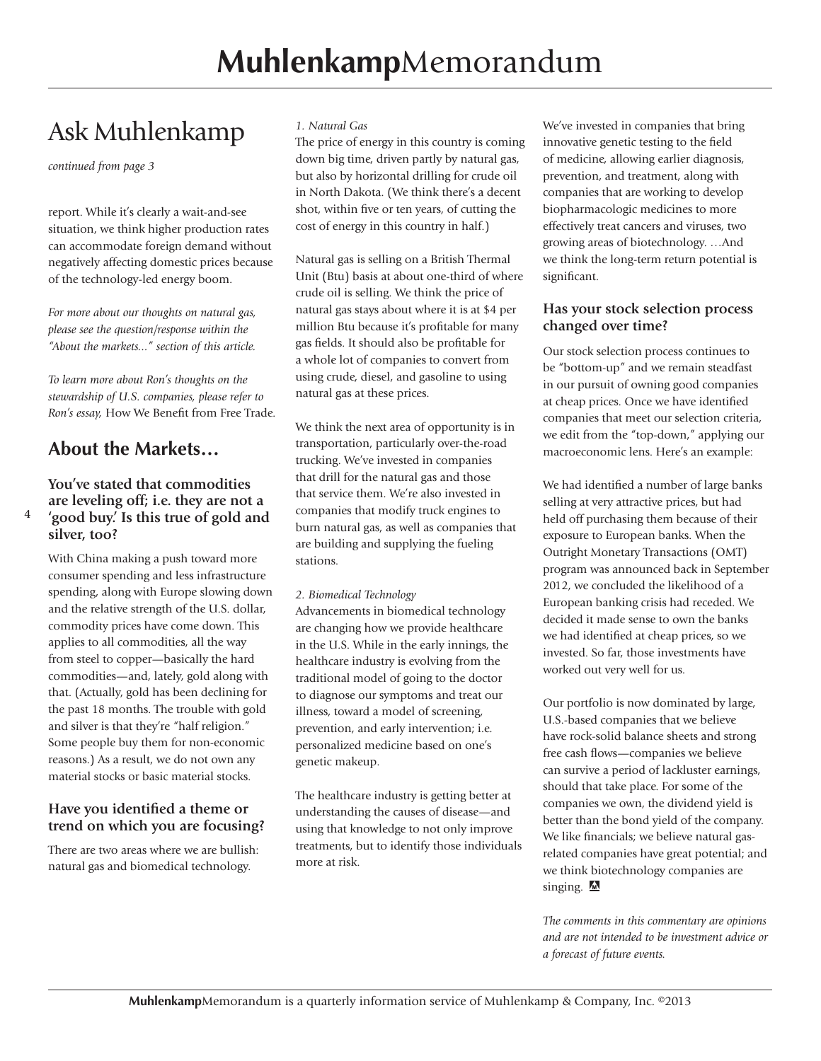### Ask Muhlenkamp

*continued from page 3*

report. While it's clearly a wait-and-see situation, we think higher production rates can accommodate foreign demand without negatively affecting domestic prices because of the technology-led energy boom.

*For more about our thoughts on natural gas, please see the question/response within the "About the markets..." section of this article.*

*To learn more about Ron's thoughts on the stewardship of U.S. companies, please refer to Ron's essay,* How We Benefit from Free Trade.

#### **About the Markets…**

**4**

#### **You've stated that commodities are leveling off; i.e. they are not a 'good buy.' Is this true of gold and silver, too?**

With China making a push toward more consumer spending and less infrastructure spending, along with Europe slowing down and the relative strength of the U.S. dollar, commodity prices have come down. This applies to all commodities, all the way from steel to copper—basically the hard commodities—and, lately, gold along with that. (Actually, gold has been declining for the past 18 months. The trouble with gold and silver is that they're "half religion." Some people buy them for non-economic reasons.) As a result, we do not own any material stocks or basic material stocks.

#### **Have you identified a theme or trend on which you are focusing?**

There are two areas where we are bullish: natural gas and biomedical technology.

#### *1. Natural Gas*

The price of energy in this country is coming down big time, driven partly by natural gas, but also by horizontal drilling for crude oil in North Dakota. (We think there's a decent shot, within five or ten years, of cutting the cost of energy in this country in half.)

Natural gas is selling on a British Thermal Unit (Btu) basis at about one-third of where crude oil is selling. We think the price of natural gas stays about where it is at \$4 per million Btu because it's profitable for many gas fields. It should also be profitable for a whole lot of companies to convert from using crude, diesel, and gasoline to using natural gas at these prices.

We think the next area of opportunity is in transportation, particularly over-the-road trucking. We've invested in companies that drill for the natural gas and those that service them. We're also invested in companies that modify truck engines to burn natural gas, as well as companies that are building and supplying the fueling stations.

#### *2. Biomedical Technology*

Advancements in biomedical technology are changing how we provide healthcare in the U.S. While in the early innings, the healthcare industry is evolving from the traditional model of going to the doctor to diagnose our symptoms and treat our illness, toward a model of screening, prevention, and early intervention; i.e. personalized medicine based on one's genetic makeup.

The healthcare industry is getting better at understanding the causes of disease—and using that knowledge to not only improve treatments, but to identify those individuals more at risk.

We've invested in companies that bring innovative genetic testing to the field of medicine, allowing earlier diagnosis, prevention, and treatment, along with companies that are working to develop biopharmacologic medicines to more effectively treat cancers and viruses, two growing areas of biotechnology. …And we think the long-term return potential is significant.

#### **Has your stock selection process changed over time?**

Our stock selection process continues to be "bottom-up" and we remain steadfast in our pursuit of owning good companies at cheap prices. Once we have identified companies that meet our selection criteria, we edit from the "top-down," applying our macroeconomic lens. Here's an example:

We had identified a number of large banks selling at very attractive prices, but had held off purchasing them because of their exposure to European banks. When the Outright Monetary Transactions (OMT) program was announced back in September 2012, we concluded the likelihood of a European banking crisis had receded. We decided it made sense to own the banks we had identified at cheap prices, so we invested. So far, those investments have worked out very well for us.

Our portfolio is now dominated by large, U.S.-based companies that we believe have rock-solid balance sheets and strong free cash flows—companies we believe can survive a period of lackluster earnings, should that take place. For some of the companies we own, the dividend yield is better than the bond yield of the company. We like financials; we believe natural gasrelated companies have great potential; and we think biotechnology companies are singing.  $\blacksquare$ 

*The comments in this commentary are opinions and are not intended to be investment advice or a forecast of future events.*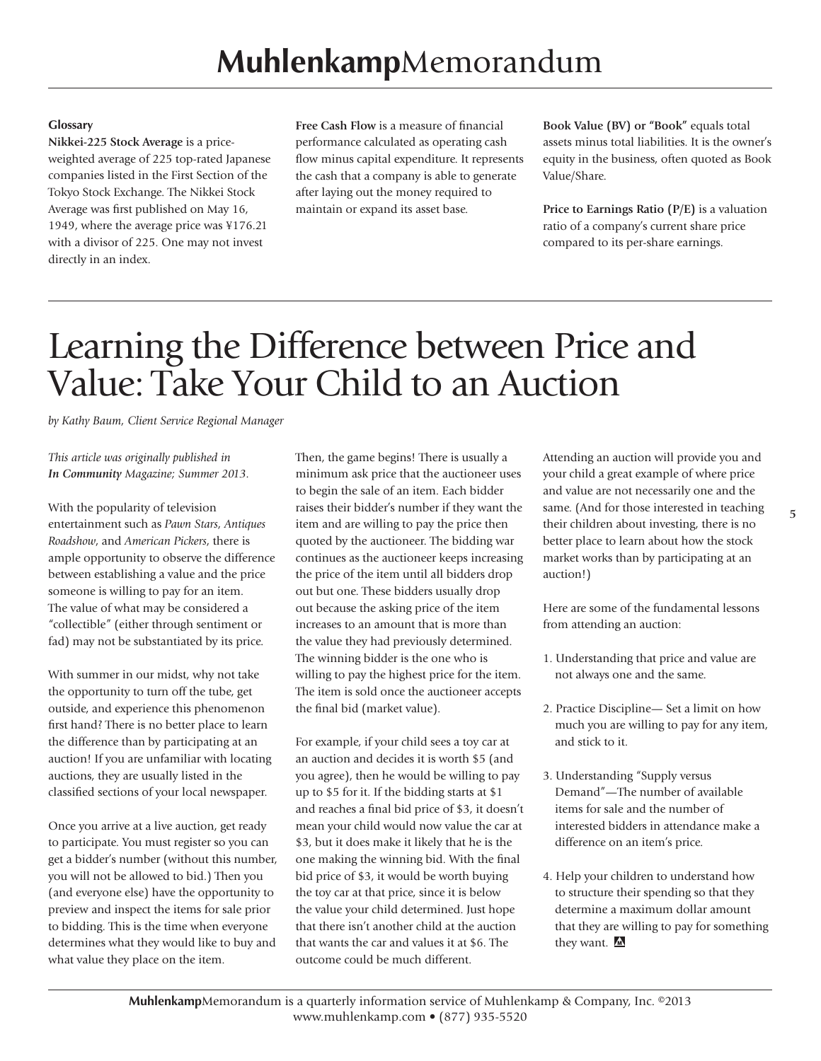#### **Glossary**

**Nikkei-225 Stock Average** is a priceweighted average of 225 top-rated Japanese companies listed in the First Section of the Tokyo Stock Exchange. The Nikkei Stock Average was first published on May 16, 1949, where the average price was ¥176.21 with a divisor of 225. One may not invest directly in an index.

**Free Cash Flow** is a measure of financial performance calculated as operating cash flow minus capital expenditure. It represents the cash that a company is able to generate after laying out the money required to maintain or expand its asset base.

**Book Value (BV) or "Book"** equals total assets minus total liabilities. It is the owner's equity in the business, often quoted as Book Value/Share.

**Price to Earnings Ratio (P/E)** is a valuation ratio of a company's current share price compared to its per-share earnings.

## Learning the Difference between Price and Value: Take Your Child to an Auction

*by Kathy Baum, Client Service Regional Manager*

*This article was originally published in In Community Magazine; Summer 2013.*

With the popularity of television entertainment such as *Pawn Stars*, *Antiques Roadshow*, and *American Pickers*, there is ample opportunity to observe the difference between establishing a value and the price someone is willing to pay for an item. The value of what may be considered a "collectible" (either through sentiment or fad) may not be substantiated by its price.

With summer in our midst, why not take the opportunity to turn off the tube, get outside, and experience this phenomenon first hand? There is no better place to learn the difference than by participating at an auction! If you are unfamiliar with locating auctions, they are usually listed in the classified sections of your local newspaper.

Once you arrive at a live auction, get ready to participate. You must register so you can get a bidder's number (without this number, you will not be allowed to bid.) Then you (and everyone else) have the opportunity to preview and inspect the items for sale prior to bidding. This is the time when everyone determines what they would like to buy and what value they place on the item.

Then, the game begins! There is usually a minimum ask price that the auctioneer uses to begin the sale of an item. Each bidder raises their bidder's number if they want the item and are willing to pay the price then quoted by the auctioneer. The bidding war continues as the auctioneer keeps increasing the price of the item until all bidders drop out but one. These bidders usually drop out because the asking price of the item increases to an amount that is more than the value they had previously determined. The winning bidder is the one who is willing to pay the highest price for the item. The item is sold once the auctioneer accepts the final bid (market value).

For example, if your child sees a toy car at an auction and decides it is worth \$5 (and you agree), then he would be willing to pay up to \$5 for it. If the bidding starts at \$1 and reaches a final bid price of \$3, it doesn't mean your child would now value the car at \$3, but it does make it likely that he is the one making the winning bid. With the final bid price of \$3, it would be worth buying the toy car at that price, since it is below the value your child determined. Just hope that there isn't another child at the auction that wants the car and values it at \$6. The outcome could be much different.

Attending an auction will provide you and your child a great example of where price and value are not necessarily one and the same. (And for those interested in teaching their children about investing, there is no better place to learn about how the stock market works than by participating at an auction!)

Here are some of the fundamental lessons from attending an auction:

- 1. Understanding that price and value are not always one and the same.
- 2. Practice Discipline— Set a limit on how much you are willing to pay for any item, and stick to it.
- 3. Understanding "Supply versus Demand"—The number of available items for sale and the number of interested bidders in attendance make a difference on an item's price.
- 4. Help your children to understand how to structure their spending so that they determine a maximum dollar amount that they are willing to pay for something they want.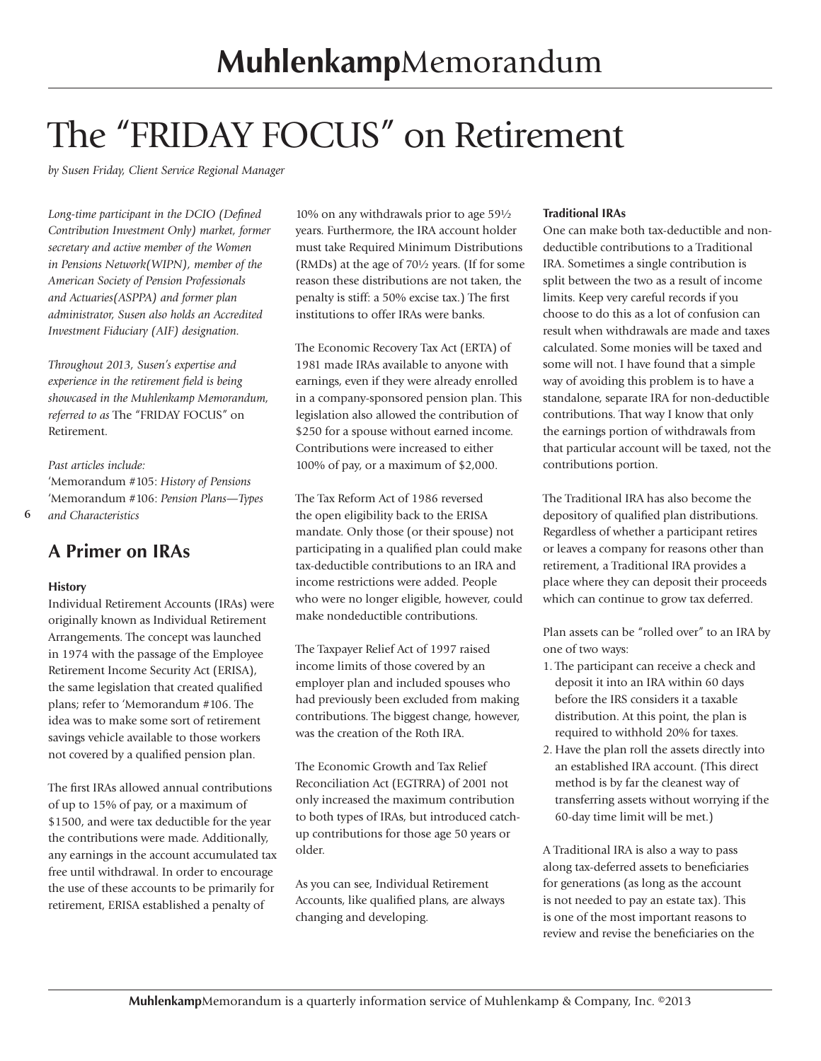# The "FRIDAY FOCUS" on Retirement

*by Susen Friday, Client Service Regional Manager*

*Long-time participant in the DCIO (Defined Contribution Investment Only) market, former secretary and active member of the Women in Pensions Network(WIPN), member of the American Society of Pension Professionals and Actuaries(ASPPA) and former plan administrator, Susen also holds an Accredited Investment Fiduciary (AIF) designation.*

*Throughout 2013, Susen's expertise and experience in the retirement field is being showcased in the Muhlenkamp Memorandum, referred to as* The "FRIDAY FOCUS" on Retirement.

*Past articles include:* 'Memorandum #105: *History of Pensions* 'Memorandum #106: *Pension Plans—Types and Characteristics*

**6**

### **A Primer on IRAs**

#### **History**

Individual Retirement Accounts (IRAs) were originally known as Individual Retirement Arrangements. The concept was launched in 1974 with the passage of the Employee Retirement Income Security Act (ERISA), the same legislation that created qualified plans; refer to 'Memorandum #106. The idea was to make some sort of retirement savings vehicle available to those workers not covered by a qualified pension plan.

The first IRAs allowed annual contributions of up to 15% of pay, or a maximum of \$1500, and were tax deductible for the year the contributions were made. Additionally, any earnings in the account accumulated tax free until withdrawal. In order to encourage the use of these accounts to be primarily for retirement, ERISA established a penalty of

10% on any withdrawals prior to age 59½ years. Furthermore, the IRA account holder must take Required Minimum Distributions (RMDs) at the age of 70½ years. (If for some reason these distributions are not taken, the penalty is stiff: a 50% excise tax.) The first institutions to offer IRAs were banks.

The Economic Recovery Tax Act (ERTA) of 1981 made IRAs available to anyone with earnings, even if they were already enrolled in a company-sponsored pension plan. This legislation also allowed the contribution of \$250 for a spouse without earned income. Contributions were increased to either 100% of pay, or a maximum of \$2,000.

The Tax Reform Act of 1986 reversed the open eligibility back to the ERISA mandate. Only those (or their spouse) not participating in a qualified plan could make tax-deductible contributions to an IRA and income restrictions were added. People who were no longer eligible, however, could make nondeductible contributions.

The Taxpayer Relief Act of 1997 raised income limits of those covered by an employer plan and included spouses who had previously been excluded from making contributions. The biggest change, however, was the creation of the Roth IRA.

The Economic Growth and Tax Relief Reconciliation Act (EGTRRA) of 2001 not only increased the maximum contribution to both types of IRAs, but introduced catchup contributions for those age 50 years or older.

As you can see, Individual Retirement Accounts, like qualified plans, are always changing and developing.

#### **Traditional IRAs**

One can make both tax-deductible and nondeductible contributions to a Traditional IRA. Sometimes a single contribution is split between the two as a result of income limits. Keep very careful records if you choose to do this as a lot of confusion can result when withdrawals are made and taxes calculated. Some monies will be taxed and some will not. I have found that a simple way of avoiding this problem is to have a standalone, separate IRA for non-deductible contributions. That way I know that only the earnings portion of withdrawals from that particular account will be taxed, not the contributions portion.

The Traditional IRA has also become the depository of qualified plan distributions. Regardless of whether a participant retires or leaves a company for reasons other than retirement, a Traditional IRA provides a place where they can deposit their proceeds which can continue to grow tax deferred.

Plan assets can be "rolled over" to an IRA by one of two ways:

- 1. The participant can receive a check and deposit it into an IRA within 60 days before the IRS considers it a taxable distribution. At this point, the plan is required to withhold 20% for taxes.
- 2. Have the plan roll the assets directly into an established IRA account. (This direct method is by far the cleanest way of transferring assets without worrying if the 60-day time limit will be met.)

A Traditional IRA is also a way to pass along tax-deferred assets to beneficiaries for generations (as long as the account is not needed to pay an estate tax). This is one of the most important reasons to review and revise the beneficiaries on the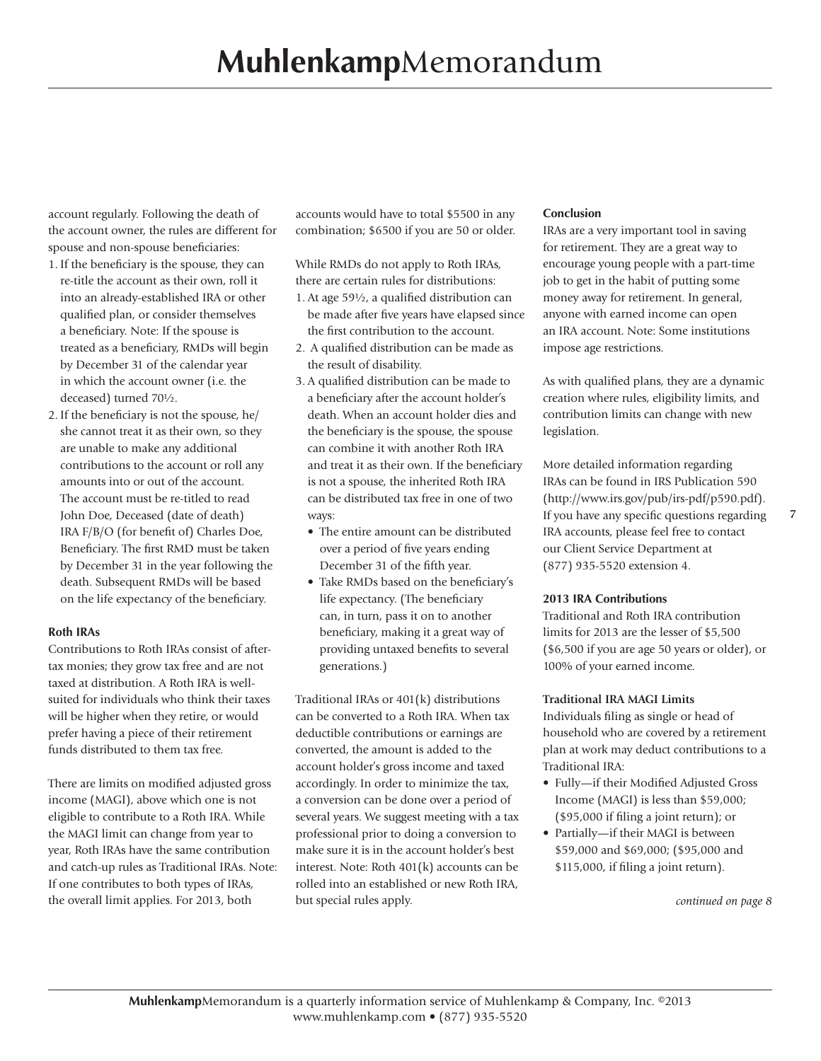account regularly. Following the death of the account owner, the rules are different for spouse and non-spouse beneficiaries:

- 1. If the beneficiary is the spouse, they can re-title the account as their own, roll it into an already-established IRA or other qualified plan, or consider themselves a beneficiary. Note: If the spouse is treated as a beneficiary, RMDs will begin by December 31 of the calendar year in which the account owner (i.e. the deceased) turned 70½.
- 2. If the beneficiary is not the spouse, he/ she cannot treat it as their own, so they are unable to make any additional contributions to the account or roll any amounts into or out of the account. The account must be re-titled to read John Doe, Deceased (date of death) IRA F/B/O (for benefit of) Charles Doe, Beneficiary. The first RMD must be taken by December 31 in the year following the death. Subsequent RMDs will be based on the life expectancy of the beneficiary.

#### **Roth IRAs**

Contributions to Roth IRAs consist of aftertax monies; they grow tax free and are not taxed at distribution. A Roth IRA is wellsuited for individuals who think their taxes will be higher when they retire, or would prefer having a piece of their retirement funds distributed to them tax free.

There are limits on modified adjusted gross income (MAGI), above which one is not eligible to contribute to a Roth IRA. While the MAGI limit can change from year to year, Roth IRAs have the same contribution and catch-up rules as Traditional IRAs. Note: If one contributes to both types of IRAs, the overall limit applies. For 2013, both

accounts would have to total \$5500 in any combination; \$6500 if you are 50 or older.

While RMDs do not apply to Roth IRAs, there are certain rules for distributions:

- 1. At age 59½, a qualified distribution can be made after five years have elapsed since the first contribution to the account.
- 2. A qualified distribution can be made as the result of disability.
- 3. A qualified distribution can be made to a beneficiary after the account holder's death. When an account holder dies and the beneficiary is the spouse, the spouse can combine it with another Roth IRA and treat it as their own. If the beneficiary is not a spouse, the inherited Roth IRA can be distributed tax free in one of two ways:
	- The entire amount can be distributed over a period of five years ending December 31 of the fifth year.
	- Take RMDs based on the beneficiary's life expectancy. (The beneficiary can, in turn, pass it on to another beneficiary, making it a great way of providing untaxed benefits to several generations.)

Traditional IRAs or 401(k) distributions can be converted to a Roth IRA. When tax deductible contributions or earnings are converted, the amount is added to the account holder's gross income and taxed accordingly. In order to minimize the tax, a conversion can be done over a period of several years. We suggest meeting with a tax professional prior to doing a conversion to make sure it is in the account holder's best interest. Note: Roth 401(k) accounts can be rolled into an established or new Roth IRA, but special rules apply.

#### **Conclusion**

IRAs are a very important tool in saving for retirement. They are a great way to encourage young people with a part-time job to get in the habit of putting some money away for retirement. In general, anyone with earned income can open an IRA account. Note: Some institutions impose age restrictions.

As with qualified plans, they are a dynamic creation where rules, eligibility limits, and contribution limits can change with new legislation.

More detailed information regarding IRAs can be found in IRS Publication 590 (http://www.irs.gov/pub/irs-pdf/p590.pdf). If you have any specific questions regarding IRA accounts, please feel free to contact our Client Service Department at (877) 935-5520 extension 4.

#### **2013 IRA Contributions**

Traditional and Roth IRA contribution limits for 2013 are the lesser of \$5,500 (\$6,500 if you are age 50 years or older), or 100% of your earned income.

#### **Traditional IRA MAGI Limits**

Individuals filing as single or head of household who are covered by a retirement plan at work may deduct contributions to a Traditional IRA:

- Fully—if their Modified Adjusted Gross Income (MAGI) is less than \$59,000; (\$95,000 if filing a joint return); or
- Partially—if their MAGI is between \$59,000 and \$69,000; (\$95,000 and \$115,000, if filing a joint return).

*continued on page 8*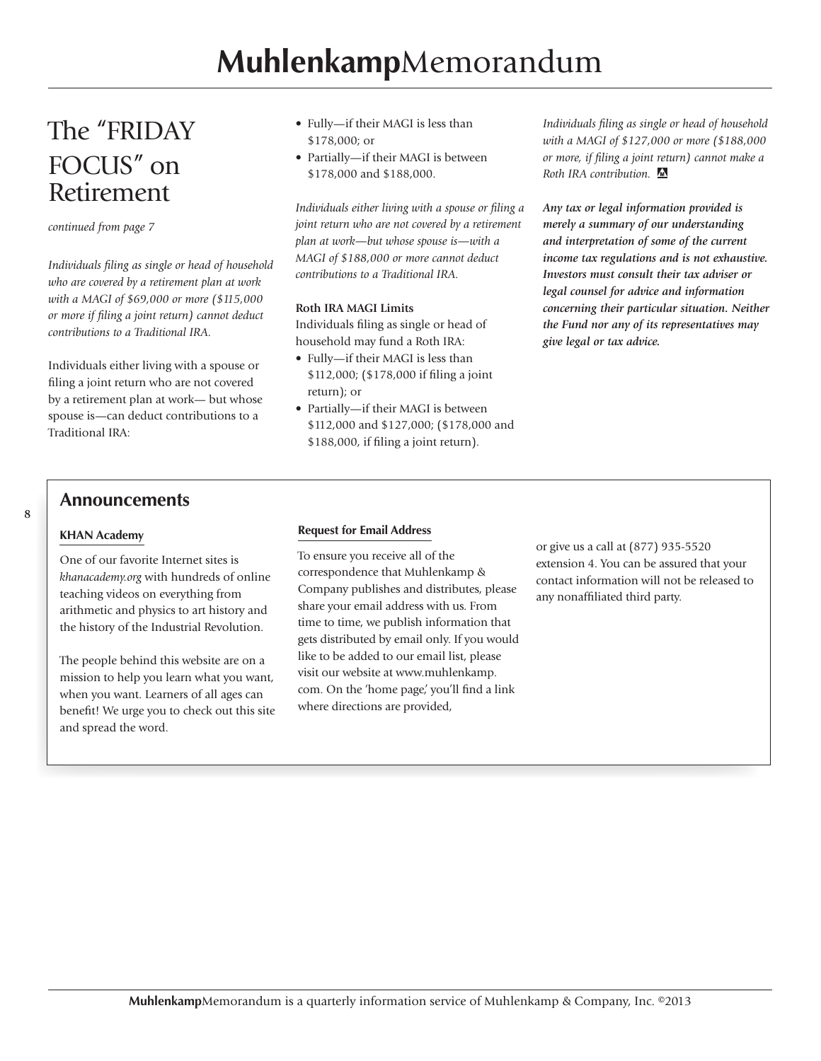### The "FRIDAY FOCUS" on Retirement

*continued from page 7*

*Individuals filing as single or head of household who are covered by a retirement plan at work with a MAGI of \$69,000 or more (\$115,000 or more if filing a joint return) cannot deduct contributions to a Traditional IRA.*

Individuals either living with a spouse or filing a joint return who are not covered by a retirement plan at work— but whose spouse is—can deduct contributions to a Traditional IRA:

- Fully—if their MAGI is less than \$178,000; or
- Partially—if their MAGI is between \$178,000 and \$188,000.

*Individuals either living with a spouse or filing a joint return who are not covered by a retirement plan at work—but whose spouse is—with a MAGI of \$188,000 or more cannot deduct contributions to a Traditional IRA.* 

#### **Roth IRA MAGI Limits**

Individuals filing as single or head of household may fund a Roth IRA:

- Fully—if their MAGI is less than \$112,000; (\$178,000 if filing a joint return); or
- Partially—if their MAGI is between \$112,000 and \$127,000; (\$178,000 and \$188,000, if filing a joint return).

*Individuals filing as single or head of household with a MAGI of \$127,000 or more (\$188,000 or more, if filing a joint return) cannot make a Roth IRA contribution.*

*Any tax or legal information provided is merely a summary of our understanding and interpretation of some of the current income tax regulations and is not exhaustive. Investors must consult their tax adviser or legal counsel for advice and information concerning their particular situation. Neither the Fund nor any of its representatives may give legal or tax advice.*

#### **Announcements**

#### **KHAN Academy**

**8**

One of our favorite Internet sites is *khanacademy.org* with hundreds of online teaching videos on everything from arithmetic and physics to art history and the history of the Industrial Revolution.

The people behind this website are on a mission to help you learn what you want, when you want. Learners of all ages can benefit! We urge you to check out this site and spread the word.

#### **Request for Email Address**

To ensure you receive all of the correspondence that Muhlenkamp & Company publishes and distributes, please share your email address with us. From time to time, we publish information that gets distributed by email only. If you would like to be added to our email list, please visit our website at www.muhlenkamp. com. On the 'home page,' you'll find a link where directions are provided,

or give us a call at (877) 935-5520 extension 4. You can be assured that your contact information will not be released to any nonaffiliated third party.